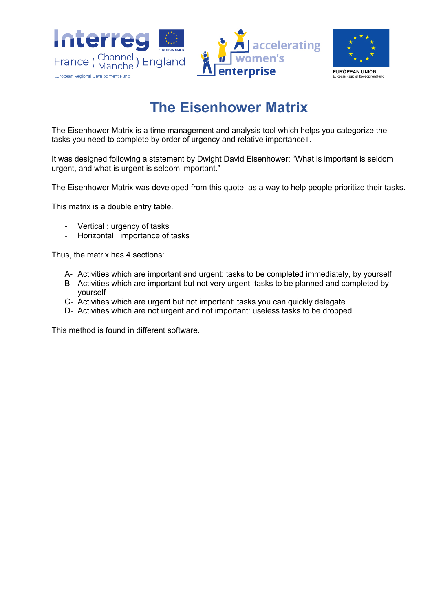





## **The Eisenhower Matrix**

The Eisenhower Matrix is a time management and analysis tool which helps you categorize the tasks you need to complete by order of urgency and relative importance1.

It was designed following a statement by Dwight David Eisenhower: "What is important is seldom urgent, and what is urgent is seldom important."

The Eisenhower Matrix was developed from this quote, as a way to help people prioritize their tasks.

This matrix is a double entry table.

- Vertical : urgency of tasks
- Horizontal : importance of tasks

Thus, the matrix has 4 sections:

- A- Activities which are important and urgent: tasks to be completed immediately, by yourself
- B- Activities which are important but not very urgent: tasks to be planned and completed by yourself
- C- Activities which are urgent but not important: tasks you can quickly delegate
- D- Activities which are not urgent and not important: useless tasks to be dropped

This method is found in different software.